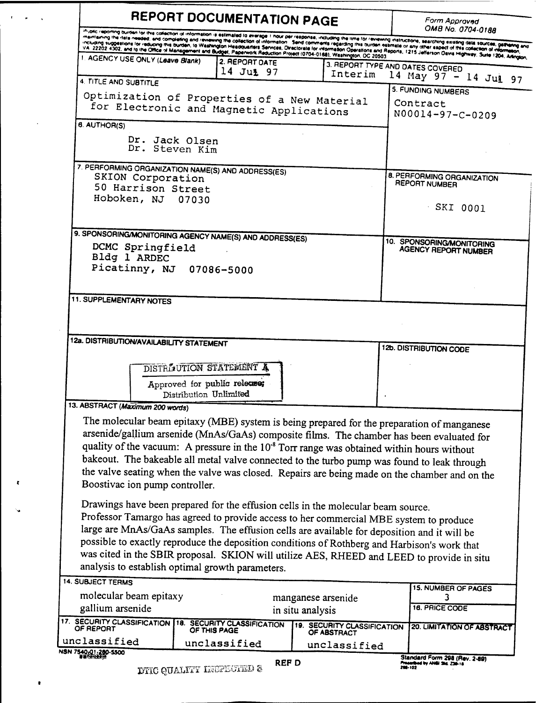|                                                                                                                                                            |                                                        | REPORT DOCUMENTATION PAGE                          |                                                                                                        | Form Approved<br>OMB No. 0704-0188                                                                                                                                                                                                                                                                                                                                                                                                                                                                                                                                                                                                                                         |  |
|------------------------------------------------------------------------------------------------------------------------------------------------------------|--------------------------------------------------------|----------------------------------------------------|--------------------------------------------------------------------------------------------------------|----------------------------------------------------------------------------------------------------------------------------------------------------------------------------------------------------------------------------------------------------------------------------------------------------------------------------------------------------------------------------------------------------------------------------------------------------------------------------------------------------------------------------------------------------------------------------------------------------------------------------------------------------------------------------|--|
|                                                                                                                                                            |                                                        |                                                    |                                                                                                        | Pripile reporting burden for this collection of information is estimated to everage. I hour per response, including the time for reviewing instructions, searching suising data sources, gallering and<br>maniculary university are consulary and reviewing the collection of information. Send comments regarding the burden estimate or any other aspect of the collection of information. We are any collection of information, and c<br>memissing the rate needs, are complemed and remember of concurring the concelled in information Operations and Reports, 1215 Jefferson Devis Highway, Sule 1204, Alington, Inc. (2014) Alington, Inc. (2014) Alington, Inc. (2 |  |
| 1. AGENCY USE ONLY (Leave Blank)                                                                                                                           |                                                        | 2. REPORT DATE                                     |                                                                                                        |                                                                                                                                                                                                                                                                                                                                                                                                                                                                                                                                                                                                                                                                            |  |
|                                                                                                                                                            |                                                        | 14 Jul 97                                          | Interim                                                                                                | 3. REPORT TYPE AND DATES COVERED<br>14 May $97 - 14$ Jul $97$                                                                                                                                                                                                                                                                                                                                                                                                                                                                                                                                                                                                              |  |
| 4. TITLE AND SUBTITLE                                                                                                                                      |                                                        |                                                    |                                                                                                        | 5. FUNDING NUMBERS                                                                                                                                                                                                                                                                                                                                                                                                                                                                                                                                                                                                                                                         |  |
|                                                                                                                                                            |                                                        | for Electronic and Magnetic Applications           | Optimization of Properties of a New Material                                                           | Contract                                                                                                                                                                                                                                                                                                                                                                                                                                                                                                                                                                                                                                                                   |  |
|                                                                                                                                                            |                                                        |                                                    |                                                                                                        | N00014-97-C-0209                                                                                                                                                                                                                                                                                                                                                                                                                                                                                                                                                                                                                                                           |  |
| 6. AUTHOR(S)                                                                                                                                               |                                                        |                                                    |                                                                                                        |                                                                                                                                                                                                                                                                                                                                                                                                                                                                                                                                                                                                                                                                            |  |
|                                                                                                                                                            | Dr. Jack Olsen<br>Dr. Steven Kim                       |                                                    |                                                                                                        |                                                                                                                                                                                                                                                                                                                                                                                                                                                                                                                                                                                                                                                                            |  |
|                                                                                                                                                            |                                                        | 7. PERFORMING ORGANIZATION NAME(S) AND ADDRESS(ES) |                                                                                                        |                                                                                                                                                                                                                                                                                                                                                                                                                                                                                                                                                                                                                                                                            |  |
| SKION Corporation                                                                                                                                          |                                                        |                                                    |                                                                                                        | 8. PERFORMING ORGANIZATION<br><b>REPORT NUMBER</b>                                                                                                                                                                                                                                                                                                                                                                                                                                                                                                                                                                                                                         |  |
| 50 Harrison Street<br>Hoboken, NJ 07030                                                                                                                    |                                                        |                                                    |                                                                                                        |                                                                                                                                                                                                                                                                                                                                                                                                                                                                                                                                                                                                                                                                            |  |
|                                                                                                                                                            |                                                        |                                                    |                                                                                                        | $-SKI$ 0001                                                                                                                                                                                                                                                                                                                                                                                                                                                                                                                                                                                                                                                                |  |
|                                                                                                                                                            |                                                        |                                                    |                                                                                                        |                                                                                                                                                                                                                                                                                                                                                                                                                                                                                                                                                                                                                                                                            |  |
|                                                                                                                                                            |                                                        |                                                    |                                                                                                        |                                                                                                                                                                                                                                                                                                                                                                                                                                                                                                                                                                                                                                                                            |  |
| 9. SPONSORING/MONITORING AGENCY NAME(S) AND ADDRESS(ES)<br>DCMC Springfield                                                                                |                                                        |                                                    |                                                                                                        | 10. SPONSORING/MONITORING<br><b>AGENCY REPORT NUMBER</b>                                                                                                                                                                                                                                                                                                                                                                                                                                                                                                                                                                                                                   |  |
| Bldg 1 ARDEC                                                                                                                                               |                                                        |                                                    |                                                                                                        |                                                                                                                                                                                                                                                                                                                                                                                                                                                                                                                                                                                                                                                                            |  |
|                                                                                                                                                            | Picatinny, NJ 07086-5000                               |                                                    |                                                                                                        |                                                                                                                                                                                                                                                                                                                                                                                                                                                                                                                                                                                                                                                                            |  |
|                                                                                                                                                            |                                                        |                                                    |                                                                                                        |                                                                                                                                                                                                                                                                                                                                                                                                                                                                                                                                                                                                                                                                            |  |
| <b>11. SUPPLEMENTARY NOTES</b>                                                                                                                             |                                                        |                                                    |                                                                                                        |                                                                                                                                                                                                                                                                                                                                                                                                                                                                                                                                                                                                                                                                            |  |
| 12a. DISTRIBUTION/AVAILABILITY STATEMENT                                                                                                                   |                                                        |                                                    |                                                                                                        |                                                                                                                                                                                                                                                                                                                                                                                                                                                                                                                                                                                                                                                                            |  |
|                                                                                                                                                            |                                                        |                                                    |                                                                                                        | 12b. DISTRIBUTION CODE                                                                                                                                                                                                                                                                                                                                                                                                                                                                                                                                                                                                                                                     |  |
|                                                                                                                                                            | DISTRIAUTION STATEMENT A                               |                                                    |                                                                                                        |                                                                                                                                                                                                                                                                                                                                                                                                                                                                                                                                                                                                                                                                            |  |
|                                                                                                                                                            | Approved for public release;<br>Distribution Unlimited |                                                    |                                                                                                        |                                                                                                                                                                                                                                                                                                                                                                                                                                                                                                                                                                                                                                                                            |  |
|                                                                                                                                                            |                                                        |                                                    |                                                                                                        |                                                                                                                                                                                                                                                                                                                                                                                                                                                                                                                                                                                                                                                                            |  |
|                                                                                                                                                            |                                                        |                                                    |                                                                                                        |                                                                                                                                                                                                                                                                                                                                                                                                                                                                                                                                                                                                                                                                            |  |
|                                                                                                                                                            |                                                        |                                                    | The molecular beam epitaxy (MBE) system is being prepared for the preparation of manganese             |                                                                                                                                                                                                                                                                                                                                                                                                                                                                                                                                                                                                                                                                            |  |
|                                                                                                                                                            |                                                        |                                                    | arsenide/gallium arsenide (MnAs/GaAs) composite films. The chamber has been evaluated for              |                                                                                                                                                                                                                                                                                                                                                                                                                                                                                                                                                                                                                                                                            |  |
| 13. ABSTRACT (Maximum 200 words)                                                                                                                           |                                                        |                                                    | quality of the vacuum: A pressure in the 10 <sup>-8</sup> Torr range was obtained within hours without |                                                                                                                                                                                                                                                                                                                                                                                                                                                                                                                                                                                                                                                                            |  |
|                                                                                                                                                            |                                                        |                                                    | bakeout. The bakeable all metal valve connected to the turbo pump was found to leak through            | the valve seating when the valve was closed. Repairs are being made on the chamber and on the                                                                                                                                                                                                                                                                                                                                                                                                                                                                                                                                                                              |  |
| Boostivac ion pump controller.                                                                                                                             |                                                        |                                                    |                                                                                                        |                                                                                                                                                                                                                                                                                                                                                                                                                                                                                                                                                                                                                                                                            |  |
|                                                                                                                                                            |                                                        |                                                    |                                                                                                        |                                                                                                                                                                                                                                                                                                                                                                                                                                                                                                                                                                                                                                                                            |  |
|                                                                                                                                                            |                                                        |                                                    | Drawings have been prepared for the effusion cells in the molecular beam source.                       |                                                                                                                                                                                                                                                                                                                                                                                                                                                                                                                                                                                                                                                                            |  |
|                                                                                                                                                            |                                                        |                                                    | Professor Tamargo has agreed to provide access to her commercial MBE system to produce                 |                                                                                                                                                                                                                                                                                                                                                                                                                                                                                                                                                                                                                                                                            |  |
|                                                                                                                                                            |                                                        |                                                    | large are MnAs/GaAs samples. The effusion cells are available for deposition and it will be            |                                                                                                                                                                                                                                                                                                                                                                                                                                                                                                                                                                                                                                                                            |  |
|                                                                                                                                                            |                                                        |                                                    | possible to exactly reproduce the deposition conditions of Rothberg and Harbison's work that           |                                                                                                                                                                                                                                                                                                                                                                                                                                                                                                                                                                                                                                                                            |  |
|                                                                                                                                                            |                                                        | analysis to establish optimal growth parameters.   | was cited in the SBIR proposal. SKION will utilize AES, RHEED and LEED to provide in situ              |                                                                                                                                                                                                                                                                                                                                                                                                                                                                                                                                                                                                                                                                            |  |
|                                                                                                                                                            |                                                        |                                                    |                                                                                                        |                                                                                                                                                                                                                                                                                                                                                                                                                                                                                                                                                                                                                                                                            |  |
|                                                                                                                                                            |                                                        |                                                    | manganese arsenide                                                                                     | 15. NUMBER OF PAGES                                                                                                                                                                                                                                                                                                                                                                                                                                                                                                                                                                                                                                                        |  |
|                                                                                                                                                            |                                                        |                                                    | in situ analysis                                                                                       | 16. PRICE CODE                                                                                                                                                                                                                                                                                                                                                                                                                                                                                                                                                                                                                                                             |  |
|                                                                                                                                                            |                                                        | <b>18. SECURITY CLASSIFICATION</b><br>OF THIS PAGE | <b>19. SECURITY CLASSIFICATION</b><br>OF ABSTRACT                                                      | 20. LIMITATION OF ABSTRACT                                                                                                                                                                                                                                                                                                                                                                                                                                                                                                                                                                                                                                                 |  |
| <b>14. SUBJECT TERMS</b><br>molecular beam epitaxy<br>gallium arsenide<br>17. SECURITY CLASSIFICATION<br>OF REPORT<br>unclassified<br>NSN 7540-01-280-5500 |                                                        | unclassified                                       | unclassified                                                                                           |                                                                                                                                                                                                                                                                                                                                                                                                                                                                                                                                                                                                                                                                            |  |

 $\mathbf{r}=\frac{1}{2}r^2+\frac{1}{2}r^2$ 

 $\overline{\phantom{a}}$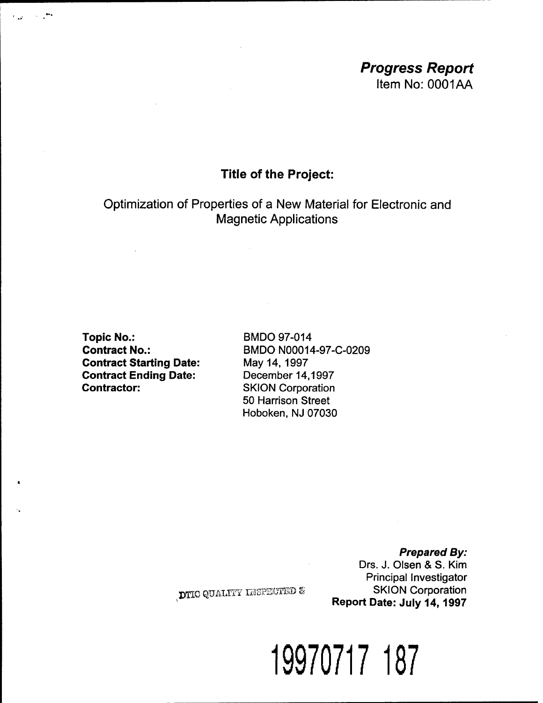## *Progress Report* Item No: 0001AA

## **Title of the Project:**

Optimization of Properties of a New Material for Electronic and Magnetic Applications

**Topic No.: Contract No.: Contract Starting Date: Contract Ending Date: Contractor:**

 $\epsilon_{\rm{rad}} = 10^{-2}$ 

BMDO 97-014 BMDO N00014-97-C-0209 May 14, 1997 December 14,1997 SKION Corporation 50 Harrison Street Hoboken, NJ 07030

> *Prepared By:* Drs. J. Olsen & S. Kim Principal Investigator SKION Corporation **Report Date: July 14,1997**

DTIC QUALITY INSPECTED &

**19970717 187**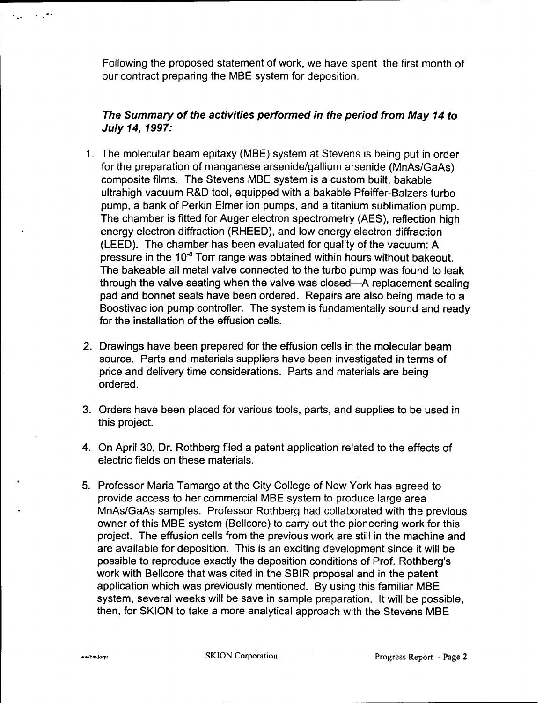Following the proposed statement of work, we have spent the first month of our contract preparing the MBE system for deposition.

## *The Summary of the activities performed in the period from May 14 to July 14, 1997:*

- 1. The molecular beam epitaxy (MBE) system at Stevens is being put in order for the preparation of manganese arsenide/gallium arsenide (MnAs/GaAs) composite films. The Stevens MBE system is a custom built, bakable ultrahigh vacuum R&D tool, equipped with a bakable Pfeiffer-Balzers turbo pump, a bank of Perkin Elmer ion pumps, and a titanium sublimation pump. The chamber is fitted for Auger electron spectrometry (AES), reflection high energy electron diffraction (RHEED), and low energy electron diffraction (LEED). The chamber has been evaluated for quality of the vacuum: A pressure in the 10"<sup>8</sup> Torr range was obtained within hours without bakeout. The bakeable all metal valve connected to the turbo pump was found to leak through the valve seating when the valve was closed—A replacement sealing pad and bonnet seals have been ordered. Repairs are also being made to **a** Boostivac ion pump controller. The system is fundamentally sound and ready for the installation of the effusion cells.
- 2. Drawings have been prepared for the effusion cells in the molecular beam source. Parts and materials suppliers have been investigated in terms of price and delivery time considerations. Parts and materials are being ordered.
- 3. Orders have been placed for various tools, parts, and supplies to be used in this project.
- 4. On April 30, Dr. Rothberg filed a patent application related to the effects of electric fields on these materials.
- 5. Professor Maria Tamargo at the City College of New York has agreed to provide access to her commercial MBE system to produce large area MnAs/GaAs samples. Professor Rothberg had collaborated with the previous owner of this MBE system (Bellcore) to carry out the pioneering work for this project. The effusion cells from the previous work are still in the machine and are available for deposition. This is an exciting development since it will be possible to reproduce exactly the deposition conditions of Prof. Rothberg's work with Bellcore that was cited in the SBIR proposal and in the patent application which was previously mentioned. By using this familiar MBE system, several weeks will be save in sample preparation. It will be possible, then, for SKION to take a more analytical approach with the Stevens MBE

للعبى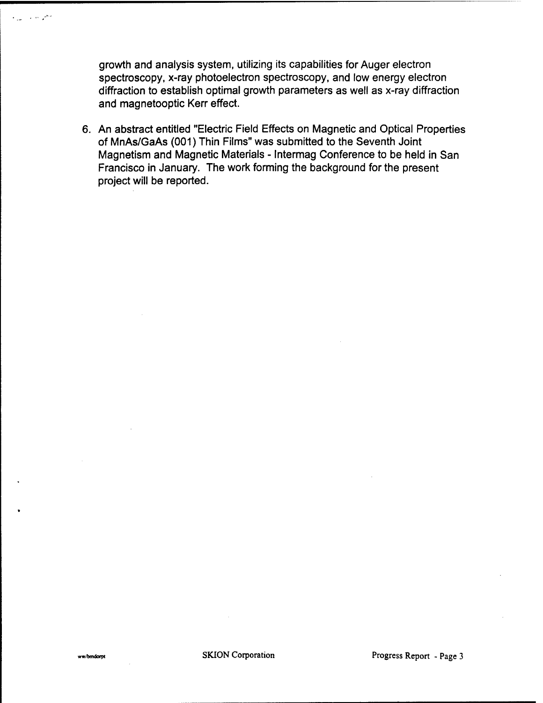growth and analysis system, utilizing its capabilities for Auger electron spectroscopy, x-ray photoelectron spectroscopy, and low energy electron diffraction to establish optimal growth parameters as well as x-ray diffraction and magnetooptic Kerr effect.

6. An abstract entitled "Electric Field Effects on Magnetic and Optical Properties of MnAs/GaAs (001) Thin Films" was submitted to the Seventh Joint Magnetism and Magnetic Materials - Intermag Conference to be held in San Francisco in January. The work forming the background for the present project will be reported.

فحراس والمناد